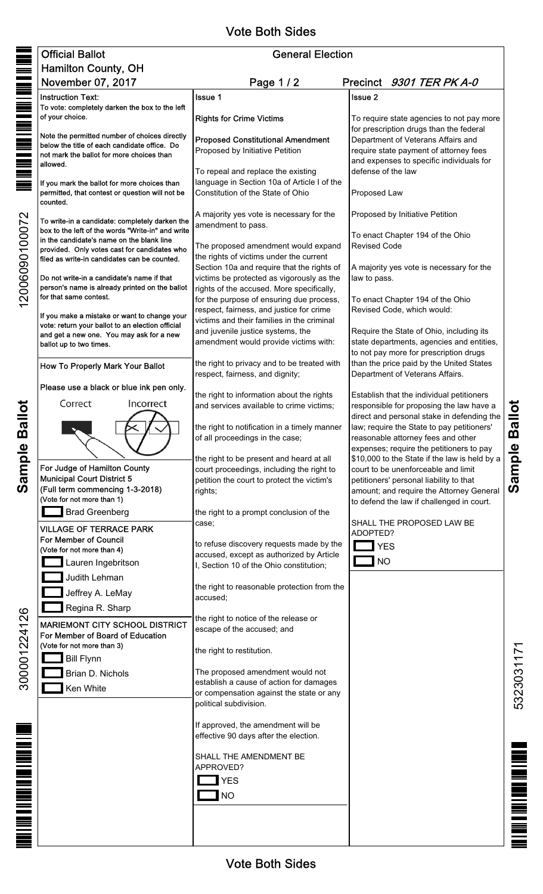## Vote Both Sides

|                  | <b>Official Ballot</b>                                                                              | <b>General Election</b>                                                                 |                                                                                           |  |  |  |
|------------------|-----------------------------------------------------------------------------------------------------|-----------------------------------------------------------------------------------------|-------------------------------------------------------------------------------------------|--|--|--|
|                  | Hamilton County, OH                                                                                 |                                                                                         |                                                                                           |  |  |  |
| <u>Till</u>      | November 07, 2017                                                                                   | Page 1/2                                                                                | Precinct 9301 TER PK A-0                                                                  |  |  |  |
|                  | <b>Instruction Text:</b><br>To vote: completely darken the box to the left                          | Issue 1                                                                                 | <b>Issue 2</b>                                                                            |  |  |  |
|                  | of your choice.                                                                                     | <b>Rights for Crime Victims</b>                                                         | To require state agencies to not pay more<br>for prescription drugs than the federal      |  |  |  |
|                  | Note the permitted number of choices directly<br>below the title of each candidate office. Do       | <b>Proposed Constitutional Amendment</b>                                                | Department of Veterans Affairs and                                                        |  |  |  |
|                  | not mark the ballot for more choices than                                                           | Proposed by Initiative Petition                                                         | require state payment of attorney fees<br>and expenses to specific individuals for        |  |  |  |
|                  | allowed.                                                                                            | To repeal and replace the existing                                                      | defense of the law                                                                        |  |  |  |
|                  | If you mark the ballot for more choices than<br>permitted, that contest or question will not be     | language in Section 10a of Article I of the<br>Constitution of the State of Ohio        | Proposed Law                                                                              |  |  |  |
| 12006090100072   | counted.                                                                                            | A majority yes vote is necessary for the                                                | Proposed by Initiative Petition                                                           |  |  |  |
|                  | To write-in a candidate: completely darken the<br>box to the left of the words "Write-in" and write | amendment to pass.                                                                      | To enact Chapter 194 of the Ohio                                                          |  |  |  |
|                  | in the candidate's name on the blank line<br>provided. Only votes cast for candidates who           | The proposed amendment would expand                                                     | <b>Revised Code</b>                                                                       |  |  |  |
|                  | filed as write-in candidates can be counted.                                                        | the rights of victims under the current                                                 |                                                                                           |  |  |  |
|                  | Do not write-in a candidate's name if that                                                          | Section 10a and require that the rights of<br>victims be protected as vigorously as the | A majority yes vote is necessary for the<br>law to pass.                                  |  |  |  |
|                  | person's name is already printed on the ballot                                                      | rights of the accused. More specifically,                                               | To enact Chapter 194 of the Ohio<br>Revised Code, which would:                            |  |  |  |
|                  | for that same contest.                                                                              | for the purpose of ensuring due process,<br>respect, fairness, and justice for crime    |                                                                                           |  |  |  |
|                  | If you make a mistake or want to change your<br>vote: return your ballot to an election official    | victims and their families in the criminal                                              |                                                                                           |  |  |  |
|                  | and get a new one. You may ask for a new                                                            | and juvenile justice systems, the<br>amendment would provide victims with:              | Require the State of Ohio, including its<br>state departments, agencies and entities,     |  |  |  |
|                  | ballot up to two times.                                                                             |                                                                                         | to not pay more for prescription drugs                                                    |  |  |  |
| <b>Ballot</b>    | How To Properly Mark Your Ballot                                                                    | the right to privacy and to be treated with<br>respect, fairness, and dignity;          | than the price paid by the United States<br>Department of Veterans Affairs.               |  |  |  |
|                  | Please use a black or blue ink pen only.                                                            | the right to information about the rights                                               | Establish that the individual petitioners                                                 |  |  |  |
|                  | Correct<br>Incorrect                                                                                | and services available to crime victims;                                                | responsible for proposing the law have a                                                  |  |  |  |
|                  |                                                                                                     | the right to notification in a timely manner                                            | direct and personal stake in defending the<br>law; require the State to pay petitioners'  |  |  |  |
|                  |                                                                                                     | of all proceedings in the case;                                                         | reasonable attorney fees and other                                                        |  |  |  |
| Sample           |                                                                                                     |                                                                                         | expenses; require the petitioners to pay<br>\$10,000 to the State if the law is held by a |  |  |  |
|                  | For Judge of Hamilton County                                                                        | the right to be present and heard at all<br>court proceedings, including the right to   | court to be unenforceable and limit                                                       |  |  |  |
|                  | <b>Municipal Court District 5</b><br>(Full term commencing 1-3-2018)                                | petition the court to protect the victim's                                              | petitioners' personal liability to that                                                   |  |  |  |
|                  | (Vote for not more than 1)                                                                          | rights;                                                                                 | amount; and require the Attorney General<br>to defend the law if challenged in court.     |  |  |  |
|                  | <b>Brad Greenberg</b>                                                                               | the right to a prompt conclusion of the                                                 |                                                                                           |  |  |  |
| 300001224126     | <b>VILLAGE OF TERRACE PARK</b>                                                                      | case;                                                                                   | SHALL THE PROPOSED LAW BE<br>ADOPTED?                                                     |  |  |  |
|                  | For Member of Council<br>(Vote for not more than 4)                                                 | to refuse discovery requests made by the                                                | <b>YES</b>                                                                                |  |  |  |
|                  | Lauren Ingebritson                                                                                  | accused, except as authorized by Article<br>I, Section 10 of the Ohio constitution;     | <b>NO</b>                                                                                 |  |  |  |
|                  | Judith Lehman                                                                                       |                                                                                         |                                                                                           |  |  |  |
|                  | Jeffrey A. LeMay                                                                                    | the right to reasonable protection from the<br>accused;                                 |                                                                                           |  |  |  |
|                  | Regina R. Sharp                                                                                     |                                                                                         |                                                                                           |  |  |  |
|                  | <b>MARIEMONT CITY SCHOOL DISTRICT</b>                                                               | the right to notice of the release or<br>escape of the accused; and                     |                                                                                           |  |  |  |
|                  | For Member of Board of Education<br>(Vote for not more than 3)                                      |                                                                                         |                                                                                           |  |  |  |
|                  | <b>Bill Flynn</b>                                                                                   | the right to restitution.                                                               |                                                                                           |  |  |  |
|                  | Brian D. Nichols                                                                                    | The proposed amendment would not                                                        |                                                                                           |  |  |  |
|                  | Ken White                                                                                           | establish a cause of action for damages<br>or compensation against the state or any     |                                                                                           |  |  |  |
|                  |                                                                                                     | political subdivision.                                                                  |                                                                                           |  |  |  |
|                  |                                                                                                     | If approved, the amendment will be<br>effective 90 days after the election.             |                                                                                           |  |  |  |
| MINIMUM NATIONAL |                                                                                                     |                                                                                         |                                                                                           |  |  |  |
|                  |                                                                                                     | SHALL THE AMENDMENT BE<br>APPROVED?                                                     |                                                                                           |  |  |  |
|                  |                                                                                                     | <b>YES</b>                                                                              |                                                                                           |  |  |  |
|                  |                                                                                                     | <b>NO</b>                                                                               |                                                                                           |  |  |  |
|                  |                                                                                                     |                                                                                         |                                                                                           |  |  |  |
|                  |                                                                                                     |                                                                                         |                                                                                           |  |  |  |
|                  |                                                                                                     |                                                                                         |                                                                                           |  |  |  |

Vote Both Sides

Sample Ballot **Sample Ballot**

> 5323031171 5323031171

**18 THE PAINT RESIDENCE**